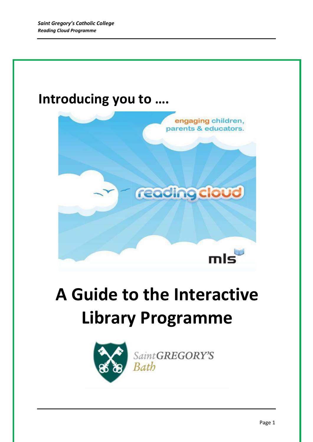## **Introducing you to ….**



# **A Guide to the Interactive Library Programme**



Saint GREGORY'S Bath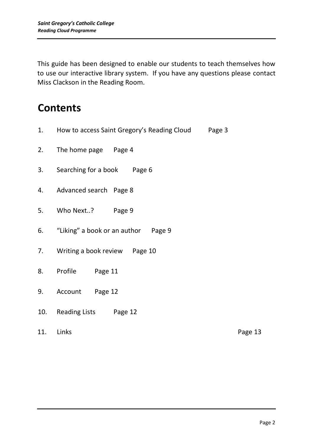This guide has been designed to enable our students to teach themselves how to use our interactive library system. If you have any questions please contact Miss Clackson in the Reading Room.

### **Contents**

1. How to access Saint Gregory's Reading Cloud Page 3 2. The home page Page 4 3. Searching for a book Page 6 4. Advanced search Page 8 5. Who Next..? Page 9 6. "Liking" a book or an author Page 9 7. Writing a book review Page 10 8. Profile Page 11 9. Account Page 12 10. Reading Lists Page 12 11. Links Page 13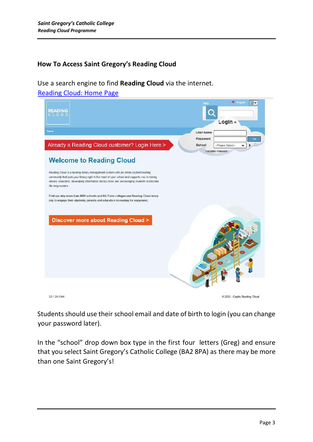#### **How To Access Saint Gregory's Reading Cloud**

Use a search engine to find **Reading Cloud** via the internet. [Reading Cloud: Home Page](https://www.readingcloud.net/)



Students should use their school email and date of birth to login (you can change your password later).

In the "school" drop down box type in the first four letters (Greg) and ensure that you select Saint Gregory's Catholic College (BA2 8PA) as there may be more than one Saint Gregory's!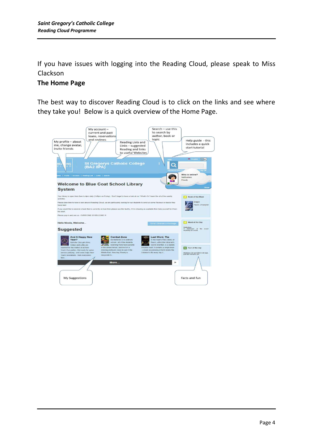If you have issues with logging into the Reading Cloud, please speak to Miss Clackson

#### **The Home Page**

The best way to discover Reading Cloud is to click on the links and see where they take you! Below is a quick overview of the Home Page.

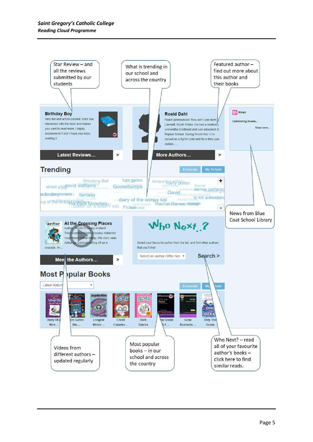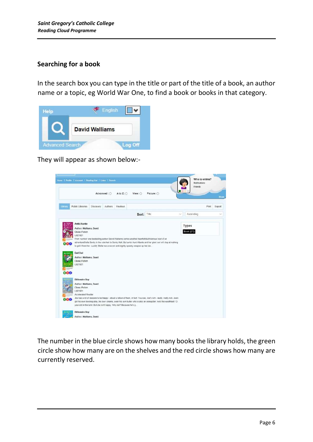#### **Searching for a book**

In the search box you can type in the title or part of the title of a book, an author name or a topic, eg World War One, to find a book or books in that category.



They will appear as shown below:-



The number in the blue circle shows how many books the library holds, the green circle show how many are on the shelves and the red circle shows how many are currently reserved.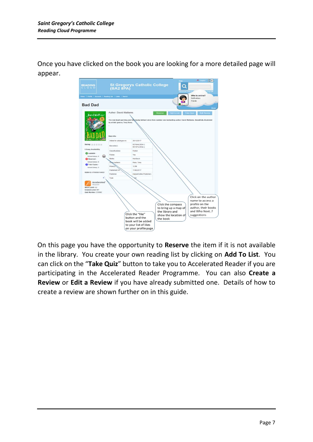Once you have clicked on the book you are looking for a more detailed page will appear.



On this page you have the opportunity to **Reserve** the item if it is not available in the library. You create your own reading list by clicking on **Add To List**. You can click on the "**Take Quiz**" button to take you to Accelerated Reader if you are participating in the Accelerated Reader Programme. You can also **Create a Review** or **Edit a Review** if you have already submitted one. Details of how to create a review are shown further on in this guide.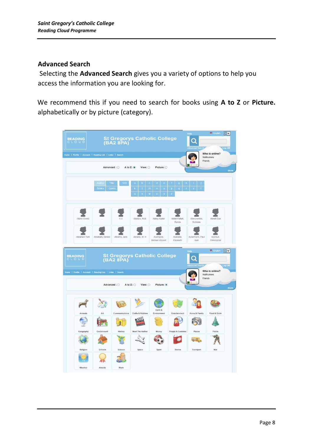#### **Advanced Search**

Selecting the **Advanced Search** gives you a variety of options to help you access the information you are looking for.

We recommend this if you need to search for books using **A to Z** or **Picture.**  alphabetically or by picture (category).

| <b>READING</b><br>CLOUD                                  | St Gregorys Catholic College<br>(BA2 8PA) |                |                                                                                                                           |                                                                                 |                                                                                                                            | <b>English DV</b><br>Help<br>Log Off |                                                    |  |
|----------------------------------------------------------|-------------------------------------------|----------------|---------------------------------------------------------------------------------------------------------------------------|---------------------------------------------------------------------------------|----------------------------------------------------------------------------------------------------------------------------|--------------------------------------|----------------------------------------------------|--|
| Home   Profile   Account   Reading List   Links   Search | Advanced: 0                               |                | A to Z: O<br>View: O                                                                                                      | Picture: O                                                                      |                                                                                                                            |                                      | Who is online?<br>Notifications<br>Friends<br>Show |  |
|                                                          | Title<br>Author<br><b>Series</b>          | 123<br>Genre   | $\bf a$<br>$\mathfrak{v}$<br>$\mathbf{C}$<br>$\mathbf k$<br>-1<br>m<br>$\mathbf{v}$<br>$\bar{\mathbf{w}}$<br>$\mathbf{u}$ | $\mathbf{d}$<br>$\mathbf{e}$<br>$\mathbf{n}$<br>$\bullet$<br>$\mathbf{x}$<br>V. | H.<br>$\overline{\mathbf{g}}$<br>$\boldsymbol{\mathsf{n}}$<br>$\mathbf{p}$<br>$\mathbf{q}$<br>$\mathbf{r}$<br>$\mathbf{z}$ | s                                    |                                                    |  |
| (None Given)                                             |                                           |                | Abadzis, Nick                                                                                                             | Abbey Kadar                                                                     | Abdel-Fattah.<br>Randa                                                                                                     | Abercrombie,<br>Nicholas             | Abnett Dan                                         |  |
| Abraham Tom                                              | Abraham, Gerald                           | Abrams, Jake   | Abrams, M. H.                                                                                                             | Acampora,<br>Michael Vincent                                                    | Acevedo,<br>Elizabeth                                                                                                      | Ackermann, Paul<br>Kurt              | Ackroyd,<br>Christopher                            |  |
| <b>READING</b><br><b>CLOUD</b>                           |                                           |                | St Gregorys Catholic College<br>(BA2 8PA)                                                                                 |                                                                                 |                                                                                                                            | <b>Belp</b><br><b>Wanced Search</b>  | <b>Said English</b><br>$\Box$<br>Log Off           |  |
| Home   Profile   Account   Reading List   Links   Search |                                           | Advanced: 0    | A to $Z:$ $\bigcirc$<br>View: $\bigcirc$                                                                                  | Picture: O                                                                      |                                                                                                                            |                                      | Who is online?<br>Notifications<br>Friends         |  |
|                                                          |                                           |                |                                                                                                                           |                                                                                 |                                                                                                                            |                                      | Show                                               |  |
| Animals                                                  | Art                                       | Communications | Crafts & Hobbies                                                                                                          | Earth &<br>Environment                                                          | Entertainment                                                                                                              | Home & Family                        | Food & Drink                                       |  |
|                                                          |                                           |                |                                                                                                                           |                                                                                 |                                                                                                                            |                                      |                                                    |  |
| Geography                                                | Government                                | History        | Meet The Author                                                                                                           | Money                                                                           | People & Customs                                                                                                           | Places                               | <b>Plants</b>                                      |  |
|                                                          |                                           |                |                                                                                                                           |                                                                                 |                                                                                                                            |                                      |                                                    |  |
| Religion                                                 | Schools                                   | Science        | Space                                                                                                                     | Sport                                                                           | Stories                                                                                                                    | Transport                            | War                                                |  |
|                                                          |                                           |                |                                                                                                                           |                                                                                 |                                                                                                                            |                                      |                                                    |  |
|                                                          |                                           |                |                                                                                                                           |                                                                                 |                                                                                                                            |                                      |                                                    |  |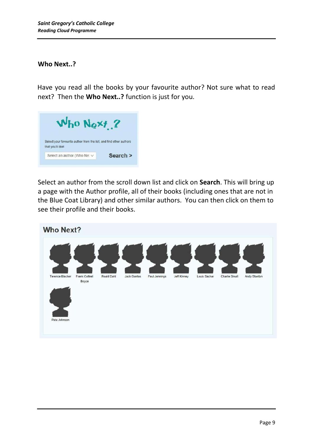#### **Who Next..?**

Have you read all the books by your favourite author? Not sure what to read next? Then the **Who Next..?** function is just for you.



Select an author from the scroll down list and click on **Search**. This will bring up a page with the Author profile, all of their books (including ones that are not in the Blue Coat Library) and other similar authors. You can then click on them to see their profile and their books.

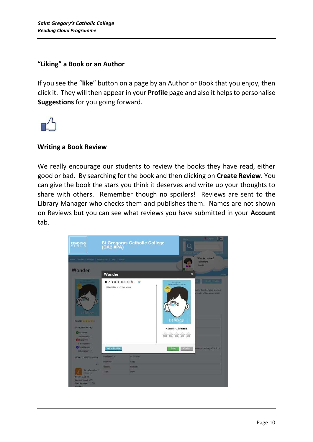#### **"Liking" a Book or an Author**

If you see the "**like**" button on a page by an Author or Book that you enjoy, then click it. They will then appear in your **Profile** page and also it helps to personalise **Suggestions** for you going forward.



#### **Writing a Book Review**

We really encourage our students to review the books they have read, either good or bad. By searching for the book and then clicking on **Create Review**. You can give the book the stars you think it deserves and write up your thoughts to share with others. Remember though no spoilers! Reviews are sent to the Library Manager who checks them and publishes them. Names are not shown on Reviews but you can see what reviews you have submitted in your **Account** tab.

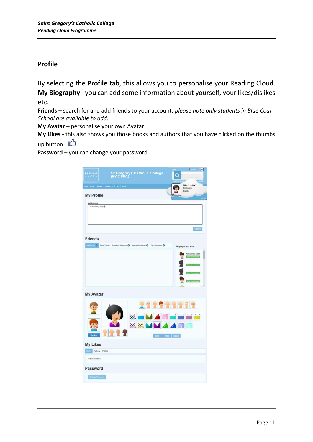#### **Profile**

By selecting the **Profile** tab, this allows you to personalise your Reading Cloud. **My Biography** - you can add some information about yourself, your likes/dislikes etc.

**Friends** – search for and add friends to your account, *please note only students in Blue Coat School are available to add.* 

**My Avatar** – personalise your own Avatar

**My Likes** - this also shows you those books and authors that you have clicked on the thumbs up button.  $\mathbb{L}$ 

**Password** – you can change your password.

| <b>READING</b>                        | St Gregorys Catholic College<br>(BA2 8PA)                                        | <b>Chaptain</b> IIV<br>Q<br>Log on                     |
|---------------------------------------|----------------------------------------------------------------------------------|--------------------------------------------------------|
|                                       | Hame:   Profile   Account   Reading List   Links   Search                        | Who is online?<br>Notifications                        |
| <b>My Profile</b>                     |                                                                                  | Friends                                                |
|                                       |                                                                                  | $\frac{1}{2}$                                          |
| My Biography:<br>I love reading books |                                                                                  | Update                                                 |
| <b>Friends</b>                        |                                                                                  |                                                        |
|                                       | My Friends O Find Friends Received Requests O Ignored Requests O Sent Requests O | People you may know                                    |
|                                       |                                                                                  | Administrator Built in<br><b>Integrated the Editor</b> |
|                                       |                                                                                  |                                                        |
|                                       |                                                                                  |                                                        |
|                                       |                                                                                  | (Import)                                               |
|                                       |                                                                                  | Send friend request                                    |
| <b>My Avatar</b>                      |                                                                                  |                                                        |
|                                       | 22202227                                                                         | $1 - 1$<br>$\mathbf{A}$                                |
|                                       | $\mathcal{L}_{\mathcal{L}}$                                                      |                                                        |
| Random                                | mm<br>Save Undo Cancel                                                           | Æ<br>$\star$                                           |
| <b>My Likes</b>                       |                                                                                  |                                                        |
| Books Authors Profiles                |                                                                                  |                                                        |
| No book likes found.                  |                                                                                  |                                                        |
| Password                              |                                                                                  |                                                        |
| Change Password                       |                                                                                  |                                                        |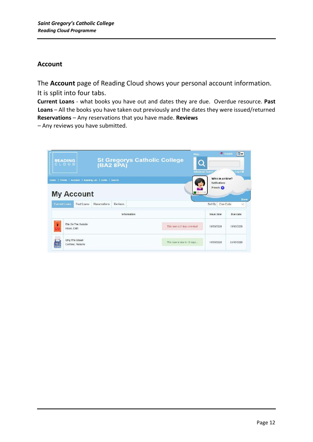#### **Account**

The **Account** page of Reading Cloud shows your personal account information. It is split into four tabs.

**Current Loans** - what books you have out and dates they are due. Overdue resource. **Past Loans** – All the books you have taken out previously and the dates they were issued/returned **Reservations** – Any reservations that you have made. **Reviews**

– Any reviews you have submitted.

| <b>READING</b><br>CLOUD                                                       |                               | St Gregorys Catholic College  | Help<br><b>Advanced Search</b> | <b>CE</b> English                                       | □∨<br>Log Off            |
|-------------------------------------------------------------------------------|-------------------------------|-------------------------------|--------------------------------|---------------------------------------------------------|--------------------------|
| Home   Profile   Account   Reading List   Links   Search<br><b>My Account</b> |                               |                               |                                | Who is online?<br>Notifications<br>Friends <sup>1</sup> | Show                     |
| <b>Current Loans</b><br>Reservations<br>Past Loans                            | <b>Reviews</b><br>Information |                               |                                | Sort By<br>Due Date<br>Issue date                       | $\checkmark$<br>Due date |
| й<br>Ella On The Outside<br>Howe, Cath                                        |                               | This loan is 2 days overduel. |                                | 10/03/2020                                              | 10/03/2020               |
| strangers<br>Only The Ocean<br>Carthew, Natasha                               |                               | This loan is due in 12 days   |                                | 10/03/2020                                              | 24/03/2020               |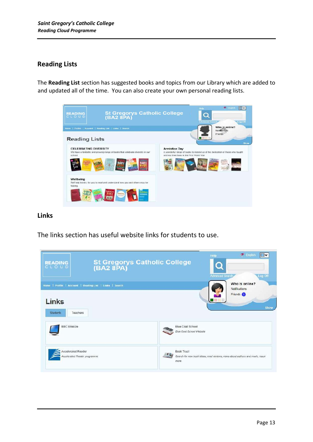#### **Reading Lists**

The **Reading List** section has suggested books and topics from our Library which are added to and updated all of the time. You can also create your own personal reading lists.



#### **Links**

The links section has useful website links for students to use.

| <b>READING</b><br>CLOUD                                                                          | St Gregorys Catholic College<br>(BA2 8PA)           | <b>R</b> <sup>2</sup> English<br>∣V<br>Help<br>Log Off<br>Advanced Search, |
|--------------------------------------------------------------------------------------------------|-----------------------------------------------------|----------------------------------------------------------------------------|
| Home   Profile   Account   Reading List   Links   Search<br>Links<br><b>Students</b><br>Teachers |                                                     | Who is online?<br><b>Notifications</b><br>Friends <sup>(1)</sup><br>Show   |
| <b>BBC Bitesize</b>                                                                              | Blue Coat School<br><b>Blue Cost School Website</b> |                                                                            |
| Accelerated Reader<br>Accelerated Reader programme                                               | <b>Book Trust</b><br>more.                          | Search for new book ideas, read reviews, news about authors and much, much |